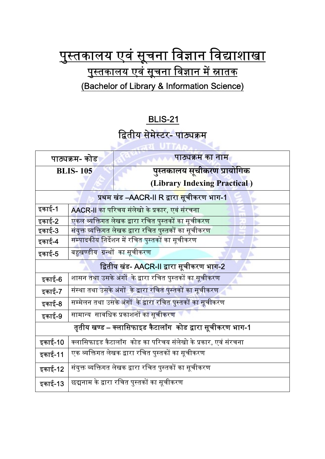## <u>पुस्तकालय एवं सूचना विज्ञान विद्याशाखा</u> <u>पुस्तकालय एवं सूचना विज्ञान में स्नातक</u> (Bachelor of Library & Information Science)

## BLIS-21

## द्वितीय सेमेस्टर- <mark>पाठ्यक्रम</mark>

| पाठ्यक्रम- कोड                                            |                                                                     | पाठ्यक्रम का नाम             |  |
|-----------------------------------------------------------|---------------------------------------------------------------------|------------------------------|--|
| <b>BLIS-105</b>                                           |                                                                     | पुस्तकालय सूचीकरण प्रायोगिक  |  |
|                                                           |                                                                     | (Library Indexing Practical) |  |
| प्रथम खंड –AACR-II R द्वार <mark>ा सू</mark> चीकरण भाग-1  |                                                                     |                              |  |
| इकाई-1                                                    | AACR-II का परिचय संलेखो के प्रकार, एवं संरचना                       |                              |  |
| इकाई-2                                                    | एकल व्यक्तिगत लेखक द्वारा रचित पुस्तकों का सूचीकरण                  |                              |  |
| इकाई-3                                                    | <mark>संयुक्त व्यक्तिगत लेखक द्वारा रचित पुस्तकों का सूचीकरण</mark> |                              |  |
| इकाई-4                                                    | <mark>सम्पादकीय निर्देशन में रचित पुस्तकों का सूचीकरण</mark>        |                              |  |
| इकाई-5                                                    | बहुखण्डीय ग्रन्थों का सूचीकरण                                       |                              |  |
| द्वितीय खंड- AACR-II द्वारा सूचीकरण भाग-2                 |                                                                     |                              |  |
| इकाई-6                                                    | शासन तथा उसके अंगों  के द्वारा रचित पुस्तकों का सूचीकरण             |                              |  |
| इकाई-7                                                    | संस्था तथा उसके अंगों  के द्वारा रचित पुस्तकों का सूचीकरण           |                              |  |
| इकाई-8                                                    | सम्मेलन तथा उसके अंगों  के द्वारा रचित पुस्तकों का सूचीकरण          |                              |  |
| इकाई-9                                                    | सामान्य  सावधिक प्रकाशनों का सूचीकरण                                |                              |  |
| तृतीय खण्ड – क्लासिफाइड कैटालॉग  कोड द्वारा सूचीकरण भाग-1 |                                                                     |                              |  |
| इकाई-10                                                   | क्लासिफाइड कैटालॉग  कोड का परिचय संलेखो के प्रकार, एवं संरचना       |                              |  |
| इकाई-11                                                   | एक व्यक्तिगत लेखक द्वारा रचित पुस्तकों का सूचीकरण                   |                              |  |
| इकाई-12                                                   | संयुक्त व्यक्तिगत लेखक द्वारा रचित पुस्तकों का सूचीकरण              |                              |  |
| इकाई-13                                                   | छद्मनाम के द्वारा रचित पुस्तकों का सूचीकरण                          |                              |  |